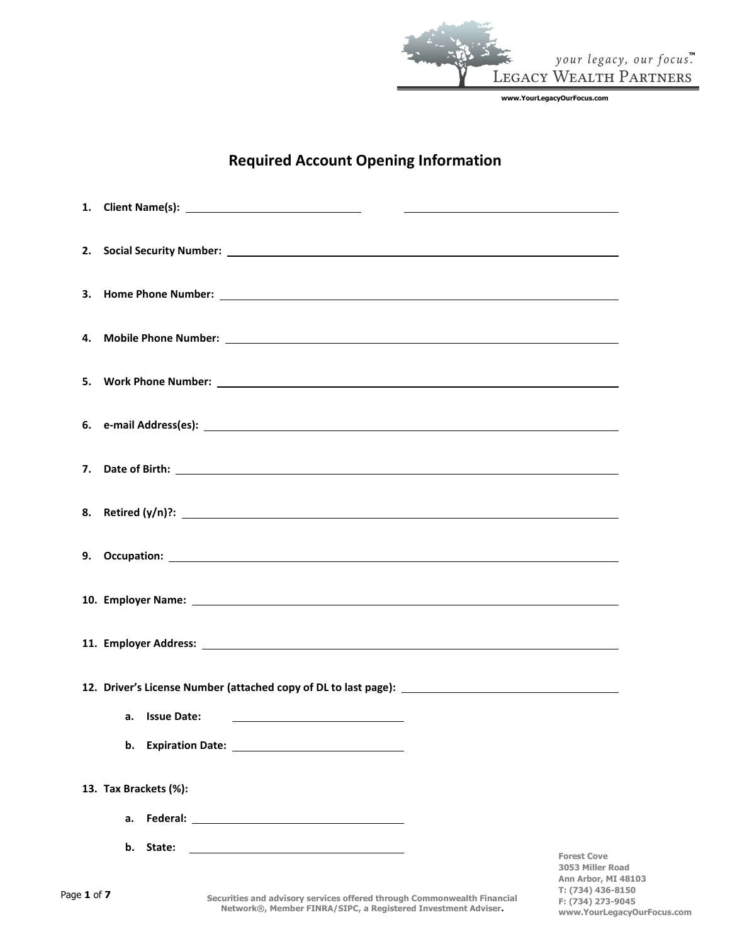

**T: (734) 436-8150 F: (734) 273-9045**

**www.YourLegacyOurFocus.com**

# **Required Account Opening Information**

| <u> 1980 - Jan Barbara Barbara, político establecidad e a la propia de la propia de la propia de la propia de la</u>                  |                                                                      |
|---------------------------------------------------------------------------------------------------------------------------------------|----------------------------------------------------------------------|
|                                                                                                                                       |                                                                      |
|                                                                                                                                       |                                                                      |
|                                                                                                                                       |                                                                      |
|                                                                                                                                       |                                                                      |
|                                                                                                                                       |                                                                      |
|                                                                                                                                       |                                                                      |
|                                                                                                                                       |                                                                      |
|                                                                                                                                       |                                                                      |
|                                                                                                                                       |                                                                      |
|                                                                                                                                       |                                                                      |
|                                                                                                                                       |                                                                      |
| b.                                                                                                                                    |                                                                      |
| 13. Tax Brackets (%):                                                                                                                 |                                                                      |
| a.                                                                                                                                    |                                                                      |
| b.<br>State:<br><u> 1980 - Johann Barn, mars ann an t-Amhain Aonaichte ann an t-Aonaichte ann an t-Aonaichte ann an t-Aonaichte a</u> | <b>Forest Cove</b><br><b>3053 Miller Road</b><br>Ann Arbor, MI 48103 |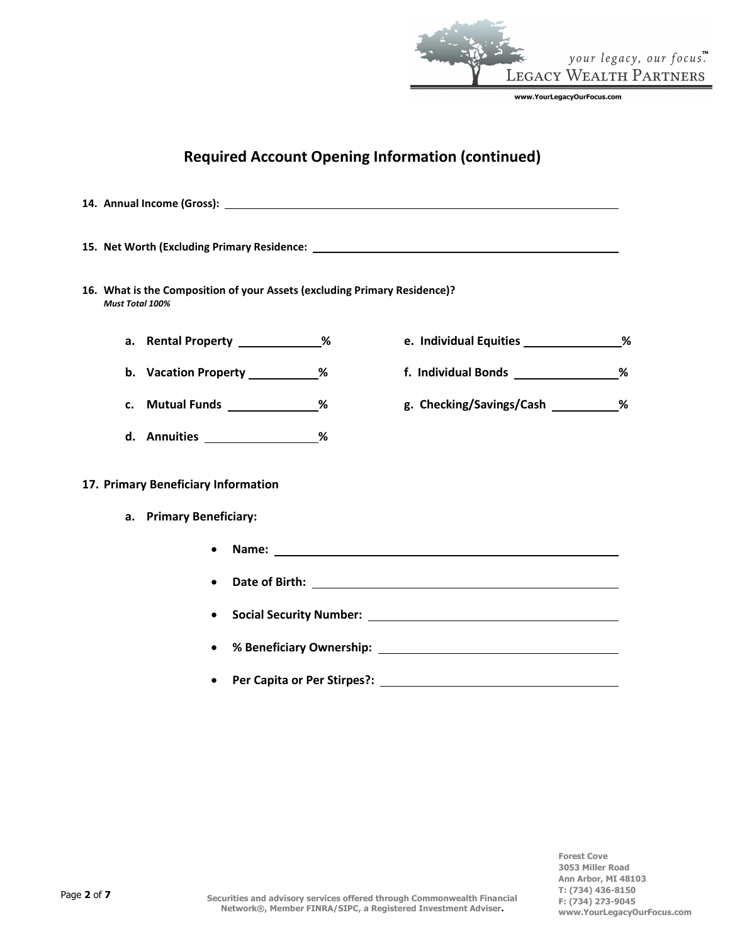

# **Required Account Opening Information (continued)**

**14. Annual Income (Gross): 15. Net Worth (Excluding Primary Residence: 16. What is the Composition of your Assets (excluding Primary Residence)?** *Must Total 100%* **a. Rental Property % e. Individual Equities % b. Vacation Property % f. Individual Bonds % c. Mutual Funds % g. Checking/Savings/Cash % d. Annuities % 17. Primary Beneficiary Information a. Primary Beneficiary:** • **Name:** • **Date of Birth:** • **Social Security Number:** • **% Beneficiary Ownership:** • **Per Capita or Per Stirpes?:**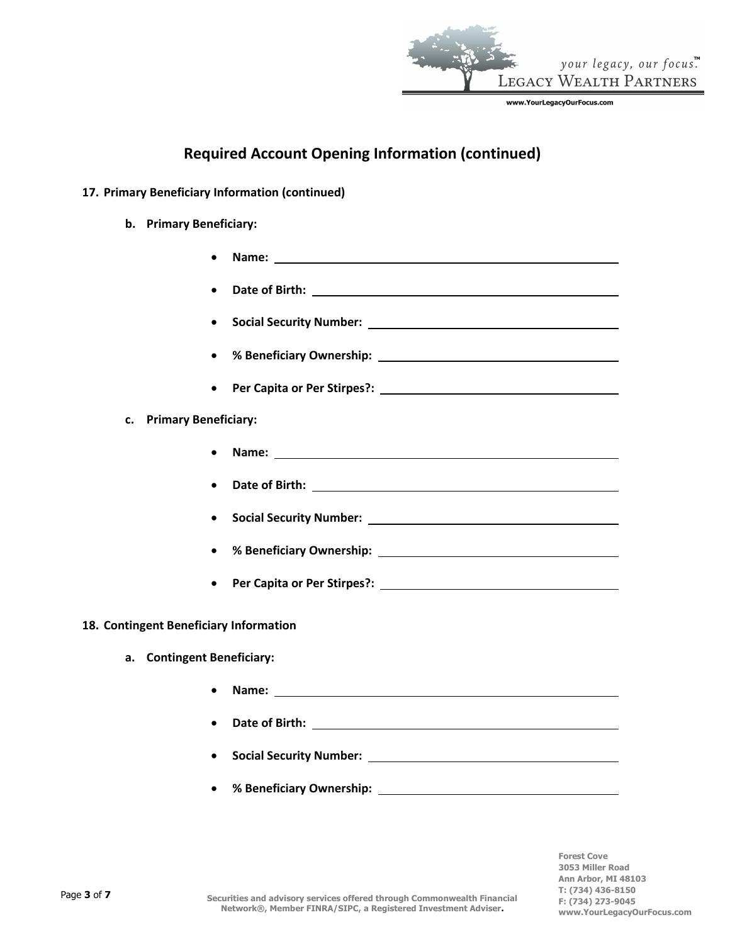

# **Required Account Opening Information (continued)**

- **17. Primary Beneficiary Information (continued)**
	- **b. Primary Beneficiary:**
		- **Name:**
		- **Date of Birth:**
		- **Social Security Number:**
		- **% Beneficiary Ownership:**
			- **Per Capita or Per Stirpes?:**

# **c. Primary Beneficiary:**

- **Name:** <u>*<u><b>*</u></u>
- **Date of Birth:**
- **Social Security Number:**
- **% Beneficiary Ownership:**
	- **Per Capita or Per Stirpes?:**

## **18. Contingent Beneficiary Information**

- **a. Contingent Beneficiary:**
	- **Name:**
	- **Date of Birth:**
	- **Social Security Number:**
	- **% Beneficiary Ownership:**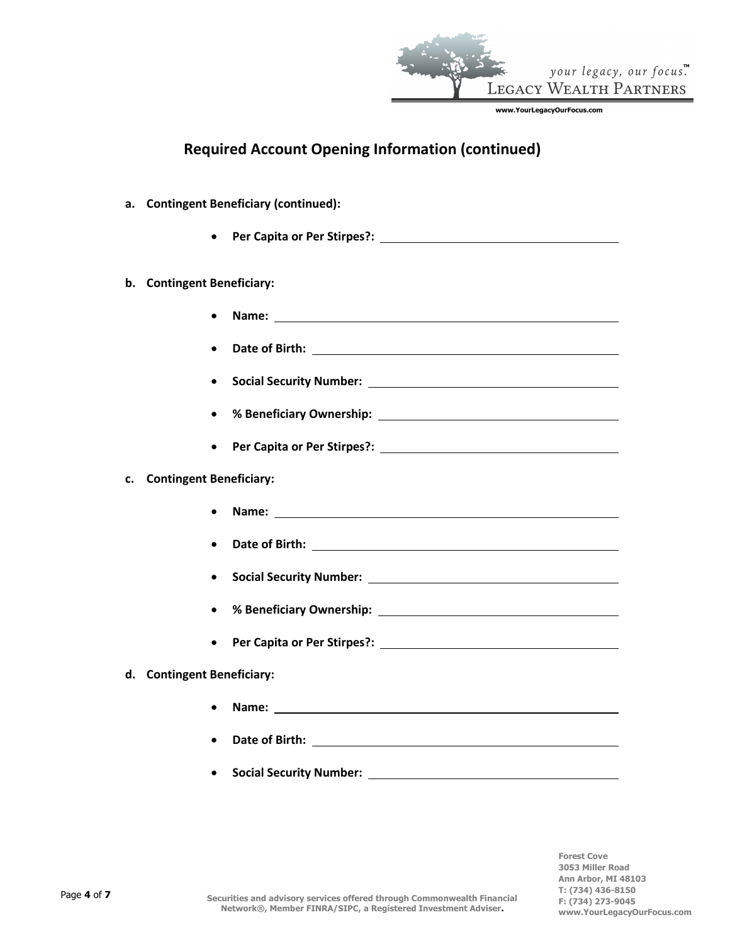

# **Required Account Opening Information (continued)**

#### **a. Contingent Beneficiary (continued):**

• **Per Capita or Per Stirpes?:**

#### **b. Contingent Beneficiary:**

- **Name:**
- **Date of Birth:**
- **Social Security Number:**
- **% Beneficiary Ownership:**
- **Per Capita or Per Stirpes?:**

#### **c. Contingent Beneficiary:**

- **Name:**
- **Date of Birth:**
- **Social Security Number:**
- **% Beneficiary Ownership:**
- **Per Capita or Per Stirpes?:**

#### **d. Contingent Beneficiary:**

- **Name:**
- **Date of Birth:**
- **Social Security Number:**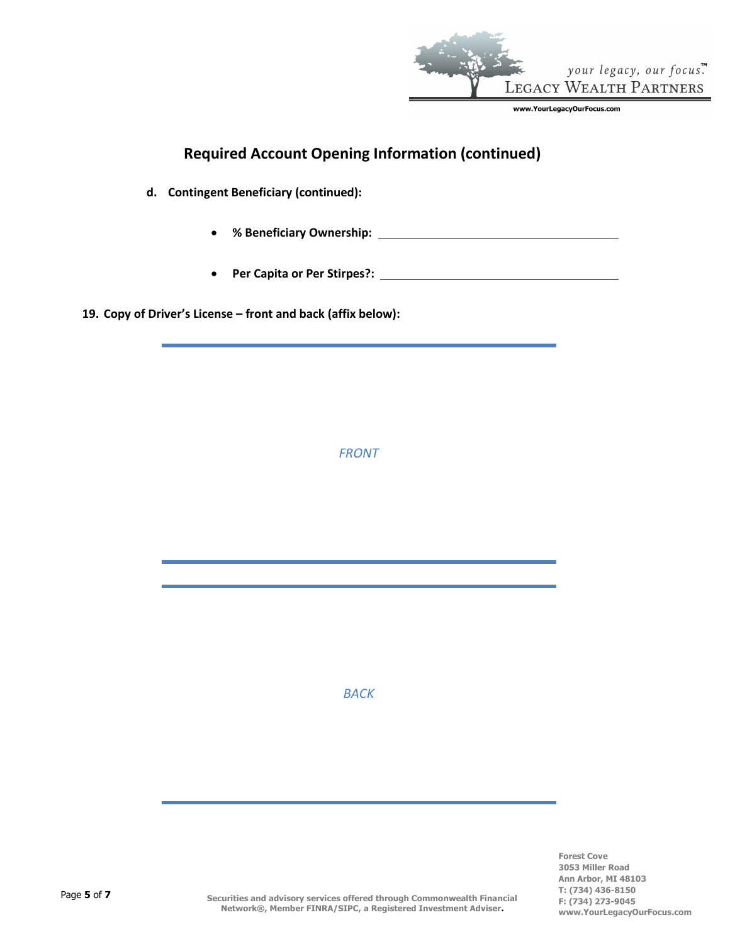

# **Required Account Opening Information (continued)**

**d. Contingent Beneficiary (continued):**

• **% Beneficiary Ownership:**

• **Per Capita or Per Stirpes?:**

**19. Copy of Driver's License – front and back (affix below):**

*FRONT*

*BACK*

**Forest Cove 3053 Miller Road Ann Arbor, MI 48103 T: (734) 436-8150 F: (734) 273-9045 www.YourLegacyOurFocus.com**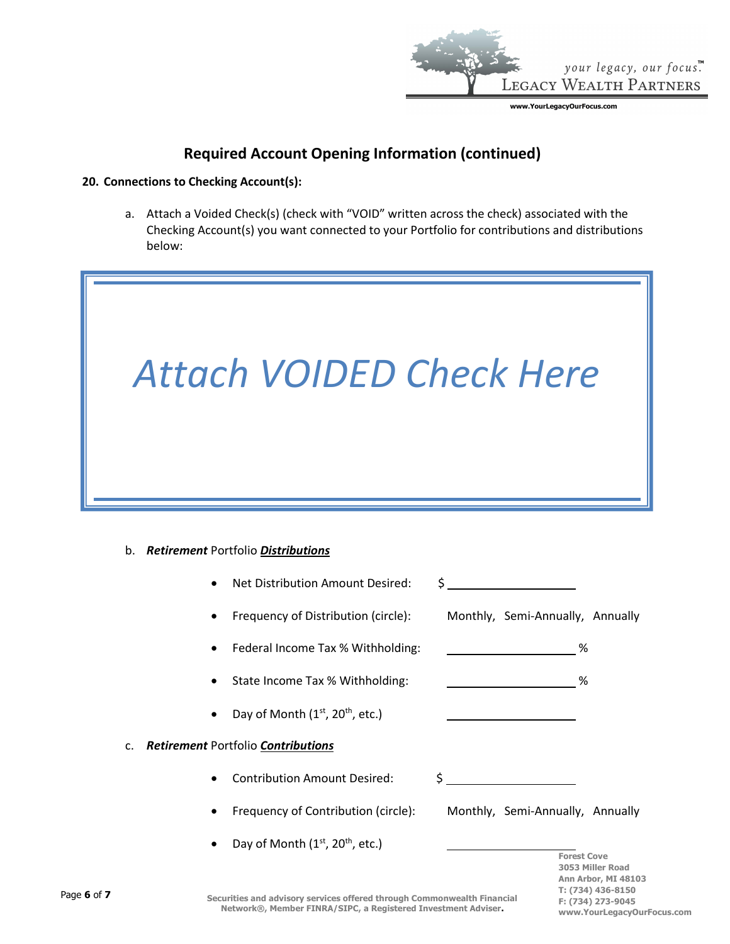

**F: (734) 273-9045**

**www.YourLegacyOurFocus.com**

# **Required Account Opening Information (continued)**

#### **20. Connections to Checking Account(s):**

a. Attach a Voided Check(s) (check with "VOID" written across the check) associated with the Checking Account(s) you want connected to your Portfolio for contributions and distributions below:



# b. *Retirement* Portfolio *Distributions*

|                |           | Net Distribution Amount Desired:                                     | Ś.               |                                  |                                          |
|----------------|-----------|----------------------------------------------------------------------|------------------|----------------------------------|------------------------------------------|
|                | $\bullet$ | Frequency of Distribution (circle): Monthly, Semi-Annually, Annually |                  |                                  |                                          |
|                | $\bullet$ | Federal Income Tax % Withholding:                                    |                  | %                                |                                          |
|                | $\bullet$ | State Income Tax % Withholding:                                      |                  | %                                |                                          |
|                | $\bullet$ | Day of Month (1 <sup>st</sup> , 20 <sup>th</sup> , etc.)             |                  |                                  |                                          |
| $\mathsf{C}$ . |           | Retirement Portfolio Contributions                                   |                  |                                  |                                          |
|                | $\bullet$ | <b>Contribution Amount Desired:</b>                                  | \$               |                                  |                                          |
|                | ٠         | Frequency of Contribution (circle):                                  |                  | Monthly, Semi-Annually, Annually |                                          |
|                |           | Day of Month (1st, 20 <sup>th</sup> , etc.)                          |                  | <b>Forest Cove</b>               |                                          |
|                |           |                                                                      | 3053 Miller Road |                                  |                                          |
|                |           |                                                                      |                  |                                  | Ann Arbor, MI 48103<br>T: (734) 436-8150 |